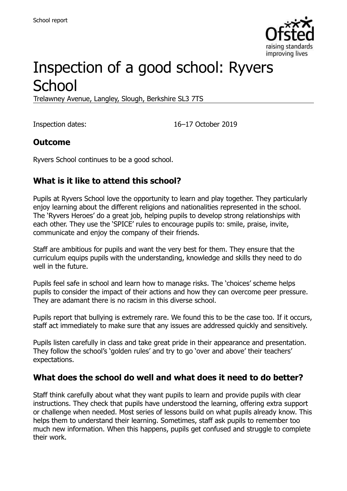

# Inspection of a good school: Ryvers **School**

Trelawney Avenue, Langley, Slough, Berkshire SL3 7TS

Inspection dates: 16–17 October 2019

#### **Outcome**

Ryvers School continues to be a good school.

### **What is it like to attend this school?**

Pupils at Ryvers School love the opportunity to learn and play together. They particularly enjoy learning about the different religions and nationalities represented in the school. The 'Ryvers Heroes' do a great job, helping pupils to develop strong relationships with each other. They use the 'SPICE' rules to encourage pupils to: smile, praise, invite, communicate and enjoy the company of their friends.

Staff are ambitious for pupils and want the very best for them. They ensure that the curriculum equips pupils with the understanding, knowledge and skills they need to do well in the future.

Pupils feel safe in school and learn how to manage risks. The 'choices' scheme helps pupils to consider the impact of their actions and how they can overcome peer pressure. They are adamant there is no racism in this diverse school.

Pupils report that bullying is extremely rare. We found this to be the case too. If it occurs, staff act immediately to make sure that any issues are addressed quickly and sensitively.

Pupils listen carefully in class and take great pride in their appearance and presentation. They follow the school's 'golden rules' and try to go 'over and above' their teachers' expectations.

#### **What does the school do well and what does it need to do better?**

Staff think carefully about what they want pupils to learn and provide pupils with clear instructions. They check that pupils have understood the learning, offering extra support or challenge when needed. Most series of lessons build on what pupils already know. This helps them to understand their learning. Sometimes, staff ask pupils to remember too much new information. When this happens, pupils get confused and struggle to complete their work.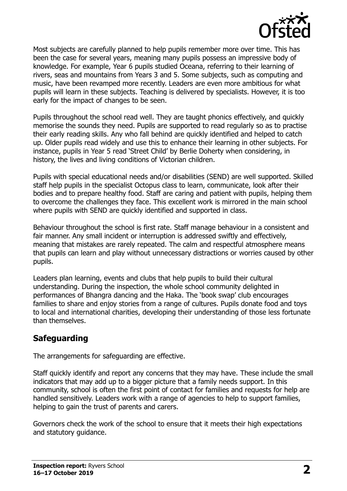

Most subjects are carefully planned to help pupils remember more over time. This has been the case for several years, meaning many pupils possess an impressive body of knowledge. For example, Year 6 pupils studied Oceana, referring to their learning of rivers, seas and mountains from Years 3 and 5. Some subjects, such as computing and music, have been revamped more recently. Leaders are even more ambitious for what pupils will learn in these subjects. Teaching is delivered by specialists. However, it is too early for the impact of changes to be seen.

Pupils throughout the school read well. They are taught phonics effectively, and quickly memorise the sounds they need. Pupils are supported to read regularly so as to practise their early reading skills. Any who fall behind are quickly identified and helped to catch up. Older pupils read widely and use this to enhance their learning in other subjects. For instance, pupils in Year 5 read 'Street Child' by Berlie Doherty when considering, in history, the lives and living conditions of Victorian children.

Pupils with special educational needs and/or disabilities (SEND) are well supported. Skilled staff help pupils in the specialist Octopus class to learn, communicate, look after their bodies and to prepare healthy food. Staff are caring and patient with pupils, helping them to overcome the challenges they face. This excellent work is mirrored in the main school where pupils with SEND are quickly identified and supported in class.

Behaviour throughout the school is first rate. Staff manage behaviour in a consistent and fair manner. Any small incident or interruption is addressed swiftly and effectively, meaning that mistakes are rarely repeated. The calm and respectful atmosphere means that pupils can learn and play without unnecessary distractions or worries caused by other pupils.

Leaders plan learning, events and clubs that help pupils to build their cultural understanding. During the inspection, the whole school community delighted in performances of Bhangra dancing and the Haka. The 'book swap' club encourages families to share and enjoy stories from a range of cultures. Pupils donate food and toys to local and international charities, developing their understanding of those less fortunate than themselves.

### **Safeguarding**

The arrangements for safeguarding are effective.

Staff quickly identify and report any concerns that they may have. These include the small indicators that may add up to a bigger picture that a family needs support. In this community, school is often the first point of contact for families and requests for help are handled sensitively. Leaders work with a range of agencies to help to support families, helping to gain the trust of parents and carers.

Governors check the work of the school to ensure that it meets their high expectations and statutory guidance.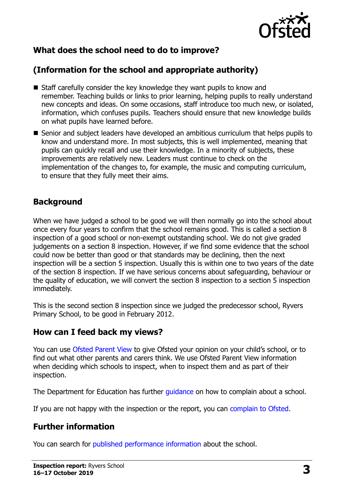

## **What does the school need to do to improve?**

## **(Information for the school and appropriate authority)**

- Staff carefully consider the key knowledge they want pupils to know and remember. Teaching builds or links to prior learning, helping pupils to really understand new concepts and ideas. On some occasions, staff introduce too much new, or isolated, information, which confuses pupils. Teachers should ensure that new knowledge builds on what pupils have learned before.
- Senior and subject leaders have developed an ambitious curriculum that helps pupils to know and understand more. In most subjects, this is well implemented, meaning that pupils can quickly recall and use their knowledge. In a minority of subjects, these improvements are relatively new. Leaders must continue to check on the implementation of the changes to, for example, the music and computing curriculum, to ensure that they fully meet their aims.

#### **Background**

When we have judged a school to be good we will then normally go into the school about once every four years to confirm that the school remains good. This is called a section 8 inspection of a good school or non-exempt outstanding school. We do not give graded judgements on a section 8 inspection. However, if we find some evidence that the school could now be better than good or that standards may be declining, then the next inspection will be a section 5 inspection. Usually this is within one to two years of the date of the section 8 inspection. If we have serious concerns about safeguarding, behaviour or the quality of education, we will convert the section 8 inspection to a section 5 inspection immediately.

This is the second section 8 inspection since we judged the predecessor school, Ryvers Primary School, to be good in February 2012.

#### **How can I feed back my views?**

You can use [Ofsted Parent View](https://parentview.ofsted.gov.uk/) to give Ofsted your opinion on your child's school, or to find out what other parents and carers think. We use Ofsted Parent View information when deciding which schools to inspect, when to inspect them and as part of their inspection.

The Department for Education has further quidance on how to complain about a school.

If you are not happy with the inspection or the report, you can [complain to Ofsted.](https://www.gov.uk/complain-ofsted-report)

## **Further information**

You can search for [published performance information](http://www.compare-school-performance.service.gov.uk/) about the school.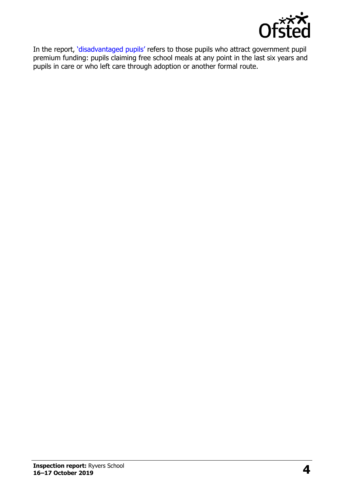

In the report, '[disadvantaged pupils](http://www.gov.uk/guidance/pupil-premium-information-for-schools-and-alternative-provision-settings)' refers to those pupils who attract government pupil premium funding: pupils claiming free school meals at any point in the last six years and pupils in care or who left care through adoption or another formal route.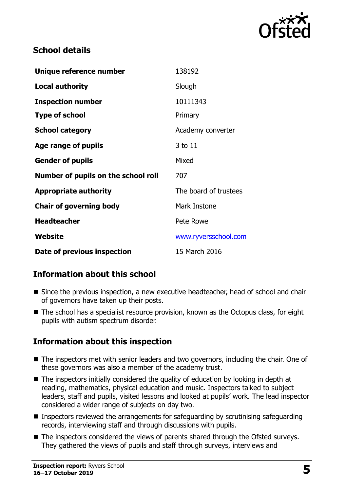

#### **School details**

| Unique reference number             | 138192                |
|-------------------------------------|-----------------------|
| <b>Local authority</b>              | Slough                |
| <b>Inspection number</b>            | 10111343              |
| <b>Type of school</b>               | Primary               |
| <b>School category</b>              | Academy converter     |
| Age range of pupils                 | 3 to 11               |
| <b>Gender of pupils</b>             | Mixed                 |
| Number of pupils on the school roll | 707                   |
| <b>Appropriate authority</b>        | The board of trustees |
| <b>Chair of governing body</b>      | Mark Instone          |
| <b>Headteacher</b>                  | Pete Rowe             |
| <b>Website</b>                      | www.ryversschool.com  |
| Date of previous inspection         | 15 March 2016         |

### **Information about this school**

- Since the previous inspection, a new executive headteacher, head of school and chair of governors have taken up their posts.
- The school has a specialist resource provision, known as the Octopus class, for eight pupils with autism spectrum disorder.

### **Information about this inspection**

- The inspectors met with senior leaders and two governors, including the chair. One of these governors was also a member of the academy trust.
- $\blacksquare$  The inspectors initially considered the quality of education by looking in depth at reading, mathematics, physical education and music. Inspectors talked to subject leaders, staff and pupils, visited lessons and looked at pupils' work. The lead inspector considered a wider range of subjects on day two.
- **Inspectors reviewed the arrangements for safeguarding by scrutinising safeguarding** records, interviewing staff and through discussions with pupils.
- The inspectors considered the views of parents shared through the Ofsted surveys. They gathered the views of pupils and staff through surveys, interviews and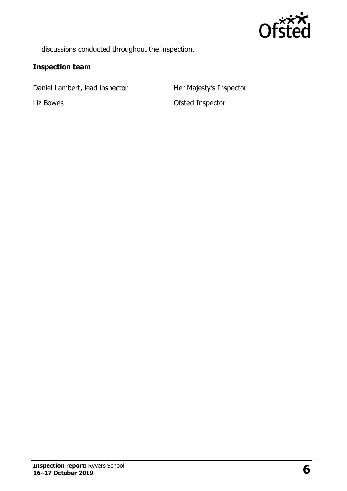

discussions conducted throughout the inspection.

#### **Inspection team**

Daniel Lambert, lead inspector Her Majesty's Inspector

Liz Bowes **Contact Contact Contact Contact Contact Contact Contact Contact Contact Contact Contact Contact Contact Contact Contact Contact Contact Contact Contact Contact Contact Contact Contact Contact Contact Contact Con**